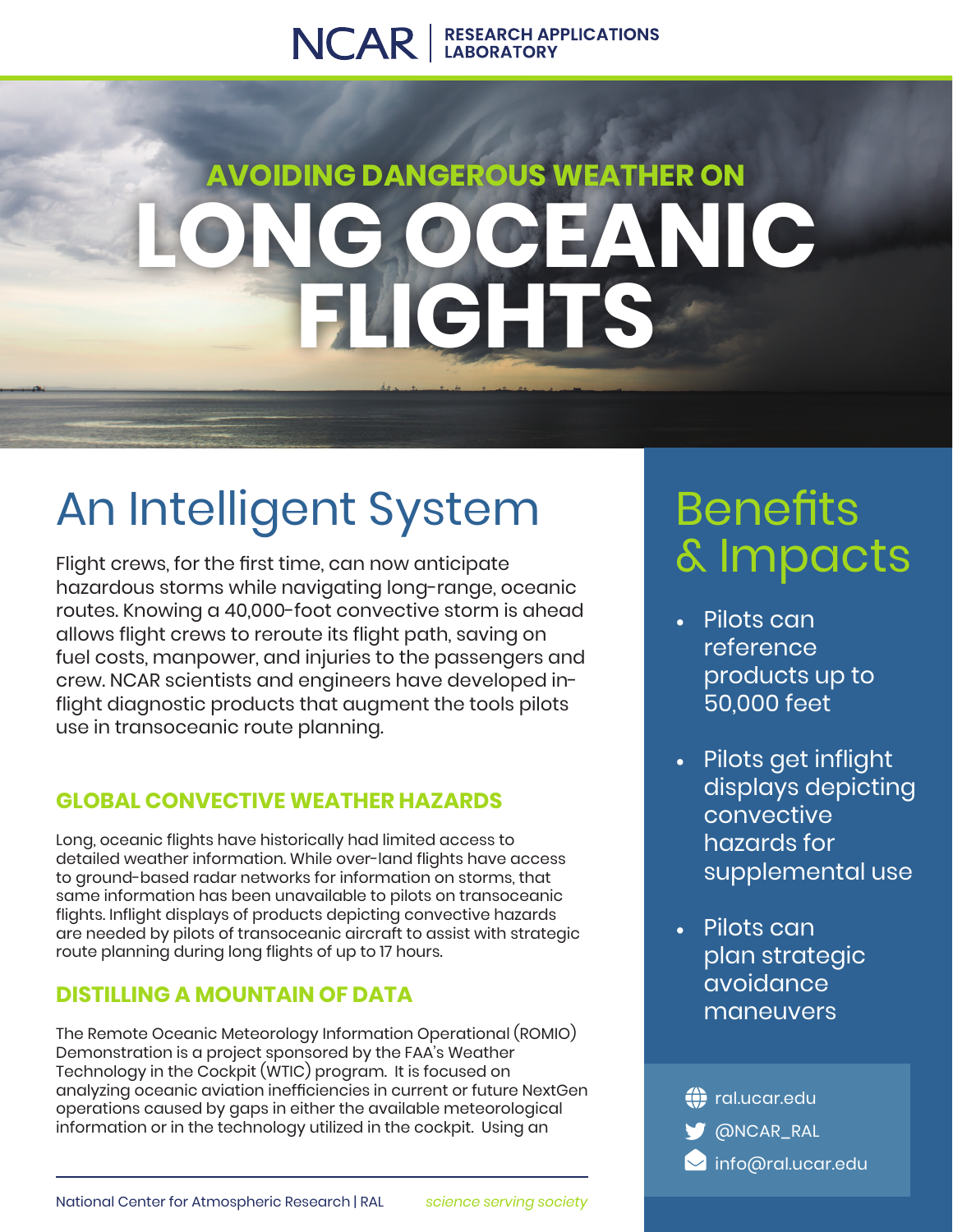### NCAR | RESEARCH APPLICATIONS

# **AVOIDING DANGEROUS WEATHER ON LOCEANIC FLIGHTS**

# An Intelligent System

Flight crews, for the first time, can now anticipate hazardous storms while navigating long-range, oceanic routes. Knowing a 40,000-foot convective storm is ahead allows flight crews to reroute its flight path, saving on fuel costs, manpower, and injuries to the passengers and crew. NCAR scientists and engineers have developed inflight diagnostic products that augment the tools pilots use in transoceanic route planning.

### **GLOBAL CONVECTIVE WEATHER HAZARDS**

Long, oceanic flights have historically had limited access to detailed weather information. While over-land flights have access to ground-based radar networks for information on storms, that same information has been unavailable to pilots on transoceanic flights. Inflight displays of products depicting convective hazards are needed by pilots of transoceanic aircraft to assist with strategic route planning during long flights of up to 17 hours.

### **DISTILLING A MOUNTAIN OF DATA**

The Remote Oceanic Meteorology Information Operational (ROMIO) Demonstration is a project sponsored by the FAA's Weather Technology in the Cockpit (WTIC) program. It is focused on analyzing oceanic aviation inefficiencies in current or future NextGen operations caused by gaps in either the available meteorological information or in the technology utilized in the cockpit. Using an

## **Benefits** & Impacts

- Pilots can reference products up to 50,000 feet
- Pilots get inflight displays depicting convective hazards for supplemental use
- Pilots can plan strategic avoidance maneuvers

**ONCAR\_RAL (1)** ral.ucar.edu **M** info@ral.ucar.edu